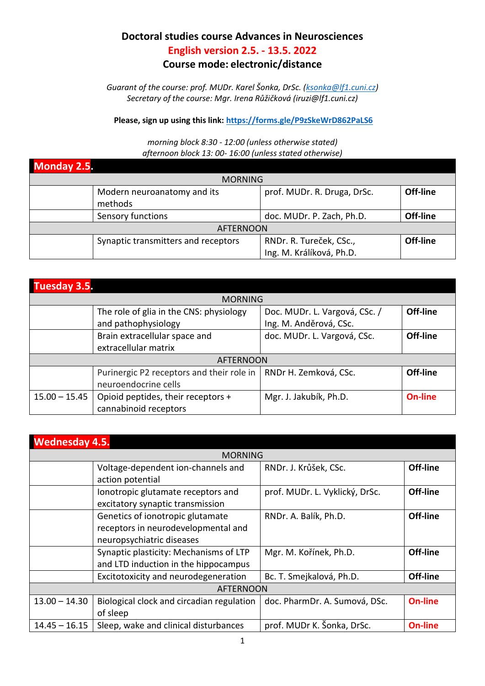## **Doctoral studies course Advances in Neurosciences English version 2.5. - 13.5. 2022**

## **Course mode: electronic/distance**

*Guarant of the course: prof. MUDr. Karel Šonka, DrSc. ([ksonka@lf1.cuni.cz\)](mailto:ksonka@lf1.cuni.cz) Secretary of the course: Mgr. Irena Růžičková (iruzi@lf1.cuni.cz)* 

**Please, sign up using this link[: https://forms.gle/P9zSkeWrD862PaLS6](https://forms.gle/P9zSkeWrD862PaLS6)**

*morning block 8:30 - 12:00 (unless otherwise stated) afternoon block 13: 00- 16:00 (unless stated otherwise)*

| <b>Monday 2.5.</b> |                                                                       |                           |          |  |
|--------------------|-----------------------------------------------------------------------|---------------------------|----------|--|
|                    | <b>MORNING</b>                                                        |                           |          |  |
|                    | prof. MUDr. R. Druga, DrSc.<br>Modern neuroanatomy and its<br>methods |                           |          |  |
|                    | Sensory functions                                                     | doc. MUDr. P. Zach, Ph.D. | Off-line |  |
| <b>AFTERNOON</b>   |                                                                       |                           |          |  |
|                    | Synaptic transmitters and receptors                                   | RNDr. R. Tureček, CSc.,   | Off-line |  |
|                    |                                                                       | Ing. M. Králíková, Ph.D.  |          |  |

| <b>Tuesday 3.5.</b> |                                           |                               |                |
|---------------------|-------------------------------------------|-------------------------------|----------------|
|                     | <b>MORNING</b>                            |                               |                |
|                     | The role of glia in the CNS: physiology   | Doc. MUDr. L. Vargová, CSc. / | Off-line       |
|                     | and pathophysiology                       | Ing. M. Anděrová, CSc.        |                |
|                     | Brain extracellular space and             | doc. MUDr. L. Vargová, CSc.   | Off-line       |
|                     | extracellular matrix                      |                               |                |
| <b>AFTERNOON</b>    |                                           |                               |                |
|                     | Purinergic P2 receptors and their role in | RNDr H. Zemková, CSc.         | Off-line       |
|                     | neuroendocrine cells                      |                               |                |
| $15.00 - 15.45$     | Opioid peptides, their receptors +        | Mgr. J. Jakubík, Ph.D.        | <b>On-line</b> |
|                     | cannabinoid receptors                     |                               |                |

| <b>Wednesday 4.5.</b> |                                                                                                      |                                |                |  |  |
|-----------------------|------------------------------------------------------------------------------------------------------|--------------------------------|----------------|--|--|
|                       | <b>MORNING</b>                                                                                       |                                |                |  |  |
|                       | Voltage-dependent ion-channels and<br>action potential                                               | RNDr. J. Krůšek, CSc.          | Off-line       |  |  |
|                       | lonotropic glutamate receptors and<br>excitatory synaptic transmission                               | prof. MUDr. L. Vyklický, DrSc. | Off-line       |  |  |
|                       | Genetics of ionotropic glutamate<br>receptors in neurodevelopmental and<br>neuropsychiatric diseases | RNDr. A. Balík, Ph.D.          | Off-line       |  |  |
|                       | Synaptic plasticity: Mechanisms of LTP<br>and LTD induction in the hippocampus                       | Mgr. M. Kořínek, Ph.D.         | Off-line       |  |  |
|                       | Excitotoxicity and neurodegeneration                                                                 | Bc. T. Smejkalová, Ph.D.       | Off-line       |  |  |
| <b>AFTERNOON</b>      |                                                                                                      |                                |                |  |  |
| $13.00 - 14.30$       | Biological clock and circadian regulation<br>of sleep                                                | doc. PharmDr. A. Sumová, DSc.  | <b>On-line</b> |  |  |
| $14.45 - 16.15$       | Sleep, wake and clinical disturbances                                                                | prof. MUDr K. Šonka, DrSc.     | <b>On-line</b> |  |  |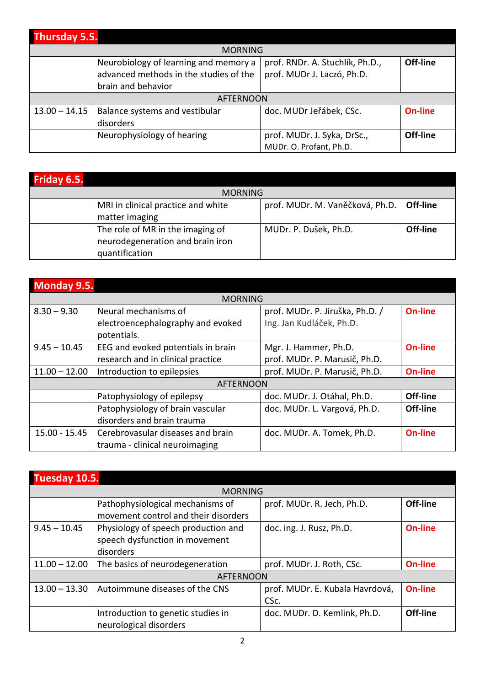| <b>Thursday 5.5.</b> |                                        |                                 |                |
|----------------------|----------------------------------------|---------------------------------|----------------|
|                      | <b>MORNING</b>                         |                                 |                |
|                      | Neurobiology of learning and memory a  | prof. RNDr. A. Stuchlík, Ph.D., | Off-line       |
|                      | advanced methods in the studies of the | prof. MUDr J. Laczó, Ph.D.      |                |
|                      | brain and behavior                     |                                 |                |
|                      | <b>AFTERNOON</b>                       |                                 |                |
| $13.00 - 14.15$      | Balance systems and vestibular         | doc. MUDr Jeřábek, CSc.         | <b>On-line</b> |
|                      | disorders                              |                                 |                |
|                      | Neurophysiology of hearing             | prof. MUDr. J. Syka, DrSc.,     | Off-line       |
|                      |                                        | MUDr. O. Profant, Ph.D.         |                |

| Friday 6.5. |                                                                                        |                                 |          |  |
|-------------|----------------------------------------------------------------------------------------|---------------------------------|----------|--|
|             | <b>MORNING</b>                                                                         |                                 |          |  |
|             | MRI in clinical practice and white<br>matter imaging                                   | prof. MUDr. M. Vaněčková, Ph.D. | Off-line |  |
|             | The role of MR in the imaging of<br>neurodegeneration and brain iron<br>quantification | MUDr. P. Dušek, Ph.D.           | Off-line |  |

| <b>Monday 9.5.</b> |                                                           |                                                             |                |
|--------------------|-----------------------------------------------------------|-------------------------------------------------------------|----------------|
|                    | <b>MORNING</b>                                            |                                                             |                |
| $8.30 - 9.30$      | Neural mechanisms of<br>electroencephalography and evoked | prof. MUDr. P. Jiruška, Ph.D. /<br>Ing. Jan Kudláček, Ph.D. | <b>On-line</b> |
|                    | potentials.                                               |                                                             |                |
| $9.45 - 10.45$     | EEG and evoked potentials in brain                        | Mgr. J. Hammer, Ph.D.                                       | <b>On-line</b> |
|                    | research and in clinical practice                         | prof. MUDr. P. Marusič, Ph.D.                               |                |
| $11.00 - 12.00$    | Introduction to epilepsies                                | prof. MUDr. P. Marusič, Ph.D.                               | <b>On-line</b> |
|                    | <b>AFTERNOON</b>                                          |                                                             |                |
|                    | Patophysiology of epilepsy                                | doc. MUDr. J. Otáhal, Ph.D.                                 | Off-line       |
|                    | Patophysiology of brain vascular                          | doc. MUDr. L. Vargová, Ph.D.                                | Off-line       |
|                    | disorders and brain trauma                                |                                                             |                |
| 15.00 - 15.45      | Cerebrovasular diseases and brain                         | doc. MUDr. A. Tomek, Ph.D.                                  | <b>On-line</b> |
|                    | trauma - clinical neuroimaging                            |                                                             |                |

| Tuesday 10.5.    |                                      |                                 |                |
|------------------|--------------------------------------|---------------------------------|----------------|
|                  | <b>MORNING</b>                       |                                 |                |
|                  | Pathophysiological mechanisms of     | prof. MUDr. R. Jech, Ph.D.      | Off-line       |
|                  | movement control and their disorders |                                 |                |
| $9.45 - 10.45$   | Physiology of speech production and  | doc. ing. J. Rusz, Ph.D.        | <b>On-line</b> |
|                  | speech dysfunction in movement       |                                 |                |
|                  | disorders                            |                                 |                |
| $11.00 - 12.00$  | The basics of neurodegeneration      | prof. MUDr. J. Roth, CSc.       | <b>On-line</b> |
| <b>AFTERNOON</b> |                                      |                                 |                |
| $13.00 - 13.30$  | Autoimmune diseases of the CNS       | prof. MUDr. E. Kubala Havrdová, | <b>On-line</b> |
|                  |                                      | CSc.                            |                |
|                  | Introduction to genetic studies in   | doc. MUDr. D. Kemlink, Ph.D.    | Off-line       |
|                  | neurological disorders               |                                 |                |